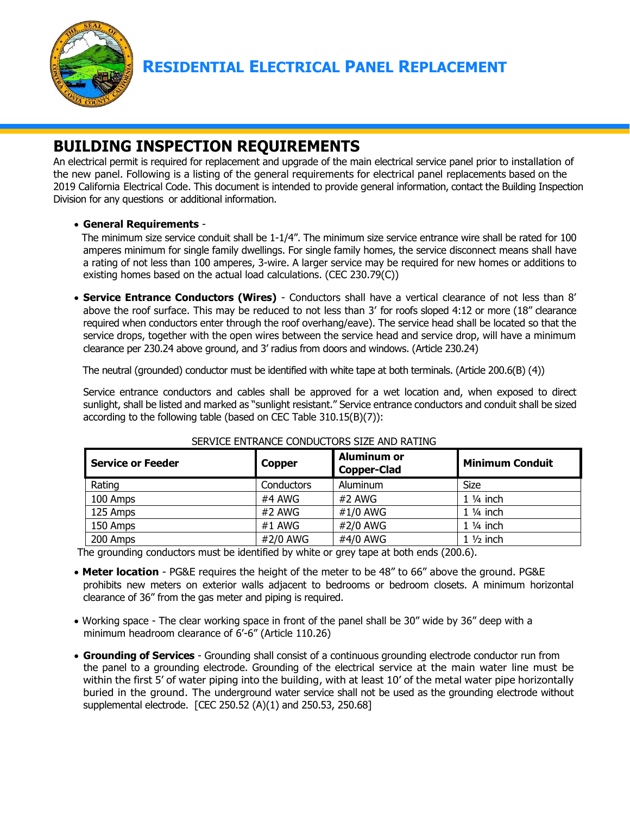

# **BUILDING INSPECTION REQUIREMENTS**

An electrical permit is required for replacement and upgrade of the main electrical service panel prior to installation of the new panel. Following is a listing of the general requirements for electrical panel replacements based on the 2019 California Electrical Code. This document is intended to provide general information, contact the Building Inspection Division for any questions or additional information.

## • **General Requirements** -

 The minimum size service conduit shall be 1-1/4". The minimum size service entrance wire shall be rated for 100 amperes minimum for single family dwellings. For single family homes, the service disconnect means shall have a rating of not less than 100 amperes, 3-wire. A larger service may be required for new homes or additions to existing homes based on the actual load calculations. (CEC 230.79(C))

• **Service Entrance Conductors (Wires)** - Conductors shall have a vertical clearance of not less than 8' above the roof surface. This may be reduced to not less than 3' for roofs sloped 4:12 or more (18" clearance required when conductors enter through the roof overhang/eave). The service head shall be located so that the service drops, together with the open wires between the service head and service drop, will have a minimum clearance per 230.24 above ground, and 3' radius from doors and windows. (Article 230.24)

The neutral (grounded) conductor must be identified with white tape at both terminals. (Article 200.6(B) (4))

 Service entrance conductors and cables shall be approved for a wet location and, when exposed to direct sunlight, shall be listed and marked as "sunlight resistant." Service entrance conductors and conduit shall be sized according to the following table (based on CEC Table 310.15(B)(7)):

| <b>Service or Feeder</b> | <b>Copper</b> | <b>Aluminum or</b><br><b>Copper-Clad</b> | <b>Minimum Conduit</b> |
|--------------------------|---------------|------------------------------------------|------------------------|
| Rating                   | Conductors    | Aluminum                                 | Size                   |
| 100 Amps                 | #4 AWG        | #2 AWG                                   | $1\frac{1}{4}$ inch    |
| 125 Amps                 | #2 AWG        | #1/0 AWG                                 | $1\frac{1}{4}$ inch    |
| 150 Amps                 | #1 AWG        | #2/0 AWG                                 | $1\frac{1}{4}$ inch    |
| 200 Amps                 | #2/0 AWG      | #4/0 AWG                                 | $1\frac{1}{2}$ inch    |

### SERVICE ENTRANCE CONDUCTORS SIZE AND RATING

The grounding conductors must be identified by white or grey tape at both ends (200.6).

- **Meter location** PG&E requires the height of the meter to be 48" to 66" above the ground. PG&E prohibits new meters on exterior walls adjacent to bedrooms or bedroom closets. A minimum horizontal clearance of 36" from the gas meter and piping is required.
- Working space The clear working space in front of the panel shall be 30" wide by 36" deep with a minimum headroom clearance of 6'-6" (Article 110.26)
- **Grounding of Services** Grounding shall consist of a continuous grounding electrode conductor run from the panel to a grounding electrode. Grounding of the electrical service at the main water line must be within the first 5' of water piping into the building, with at least 10' of the metal water pipe horizontally buried in the ground. The underground water service shall not be used as the grounding electrode without supplemental electrode. [CEC 250.52 (A)(1) and 250.53, 250.68]